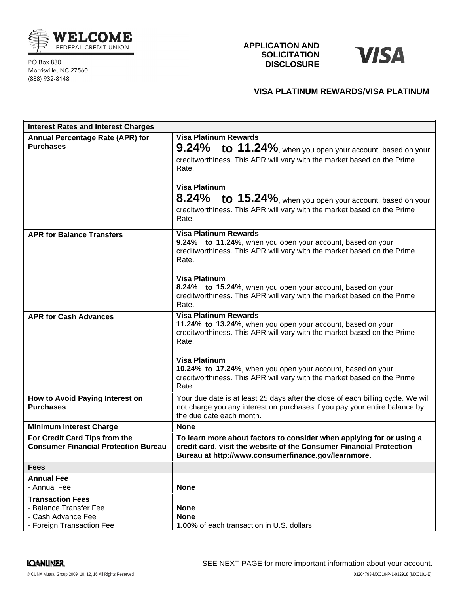

PO Box 830 Morrisville, NC 27560 (888) 932-8148

**APPLICATION AND SOLICITATION DISCLOSURE**

# **VISA**

# **VISA PLATINUM REWARDS/VISA PLATINUM**

| <b>Interest Rates and Interest Charges</b>                                                           |                                                                                                                                                                                                        |
|------------------------------------------------------------------------------------------------------|--------------------------------------------------------------------------------------------------------------------------------------------------------------------------------------------------------|
| Annual Percentage Rate (APR) for<br><b>Purchases</b>                                                 | <b>Visa Platinum Rewards</b><br>9.24% to 11.24%, when you open your account, based on your<br>creditworthiness. This APR will vary with the market based on the Prime<br>Rate.<br><b>Visa Platinum</b> |
|                                                                                                      | 8.24% to 15.24%, when you open your account, based on your<br>creditworthiness. This APR will vary with the market based on the Prime<br>Rate.                                                         |
| <b>APR for Balance Transfers</b>                                                                     | <b>Visa Platinum Rewards</b><br>9.24% to 11.24%, when you open your account, based on your<br>creditworthiness. This APR will vary with the market based on the Prime<br>Rate.                         |
|                                                                                                      | <b>Visa Platinum</b><br>8.24% to 15.24%, when you open your account, based on your<br>creditworthiness. This APR will vary with the market based on the Prime<br>Rate.                                 |
| <b>APR for Cash Advances</b>                                                                         | <b>Visa Platinum Rewards</b><br>11.24% to 13.24%, when you open your account, based on your<br>creditworthiness. This APR will vary with the market based on the Prime<br>Rate.                        |
|                                                                                                      | <b>Visa Platinum</b><br>10.24% to 17.24%, when you open your account, based on your<br>creditworthiness. This APR will vary with the market based on the Prime<br>Rate.                                |
| How to Avoid Paying Interest on<br><b>Purchases</b>                                                  | Your due date is at least 25 days after the close of each billing cycle. We will<br>not charge you any interest on purchases if you pay your entire balance by<br>the due date each month.             |
| <b>Minimum Interest Charge</b>                                                                       | <b>None</b>                                                                                                                                                                                            |
| For Credit Card Tips from the<br><b>Consumer Financial Protection Bureau</b>                         | To learn more about factors to consider when applying for or using a<br>credit card, visit the website of the Consumer Financial Protection<br>Bureau at http://www.consumerfinance.gov/learnmore.     |
| <b>Fees</b>                                                                                          |                                                                                                                                                                                                        |
| <b>Annual Fee</b><br>- Annual Fee                                                                    | <b>None</b>                                                                                                                                                                                            |
| <b>Transaction Fees</b><br>- Balance Transfer Fee<br>- Cash Advance Fee<br>- Foreign Transaction Fee | <b>None</b><br><b>None</b><br>1.00% of each transaction in U.S. dollars                                                                                                                                |